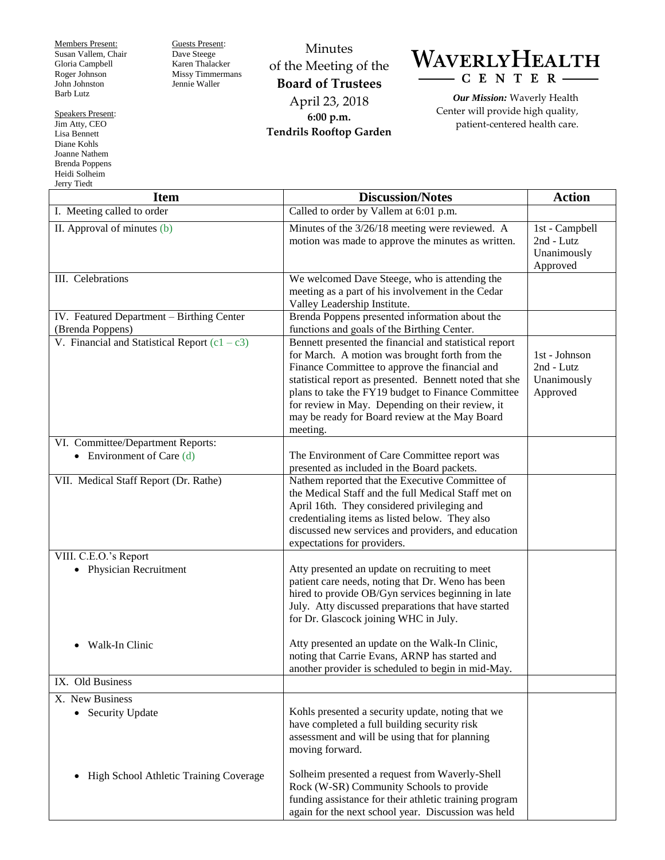Members Present: Susan Vallem, Chair Gloria Campbell Roger Johnson John Johnston Barb Lutz

Guests Present: Dave Steege Karen Thalacker Missy Timmermans Jennie Waller

Minutes of the Meeting of the **Board of Trustees** April 23, 2018 **6:00 p.m. Tendrils Rooftop Garden**

WAVERLYHEALTH  $-$  C E N T E R  $-$ 

*Our Mission:* Waverly Health Center will provide high quality, patient-centered health care.

| <b>Item</b>                                                   | <b>Discussion/Notes</b>                                                                                                                                                                                                                                                                                                                                                                       | <b>Action</b>                                           |
|---------------------------------------------------------------|-----------------------------------------------------------------------------------------------------------------------------------------------------------------------------------------------------------------------------------------------------------------------------------------------------------------------------------------------------------------------------------------------|---------------------------------------------------------|
| I. Meeting called to order                                    | Called to order by Vallem at 6:01 p.m.                                                                                                                                                                                                                                                                                                                                                        |                                                         |
| II. Approval of minutes $(b)$                                 | Minutes of the 3/26/18 meeting were reviewed. A<br>motion was made to approve the minutes as written.                                                                                                                                                                                                                                                                                         | 1st - Campbell<br>2nd - Lutz<br>Unanimously<br>Approved |
| III. Celebrations                                             | We welcomed Dave Steege, who is attending the<br>meeting as a part of his involvement in the Cedar<br>Valley Leadership Institute.                                                                                                                                                                                                                                                            |                                                         |
| IV. Featured Department - Birthing Center<br>(Brenda Poppens) | Brenda Poppens presented information about the<br>functions and goals of the Birthing Center.                                                                                                                                                                                                                                                                                                 |                                                         |
| V. Financial and Statistical Report $(c1 - c3)$               | Bennett presented the financial and statistical report<br>for March. A motion was brought forth from the<br>Finance Committee to approve the financial and<br>statistical report as presented. Bennett noted that she<br>plans to take the FY19 budget to Finance Committee<br>for review in May. Depending on their review, it<br>may be ready for Board review at the May Board<br>meeting. | 1st - Johnson<br>2nd - Lutz<br>Unanimously<br>Approved  |
| VI. Committee/Department Reports:                             |                                                                                                                                                                                                                                                                                                                                                                                               |                                                         |
| • Environment of Care $(d)$                                   | The Environment of Care Committee report was<br>presented as included in the Board packets.                                                                                                                                                                                                                                                                                                   |                                                         |
| VII. Medical Staff Report (Dr. Rathe)                         | Nathem reported that the Executive Committee of<br>the Medical Staff and the full Medical Staff met on<br>April 16th. They considered privileging and<br>credentialing items as listed below. They also<br>discussed new services and providers, and education<br>expectations for providers.                                                                                                 |                                                         |
| VIII. C.E.O.'s Report                                         |                                                                                                                                                                                                                                                                                                                                                                                               |                                                         |
| • Physician Recruitment                                       | Atty presented an update on recruiting to meet<br>patient care needs, noting that Dr. Weno has been<br>hired to provide OB/Gyn services beginning in late<br>July. Atty discussed preparations that have started<br>for Dr. Glascock joining WHC in July.                                                                                                                                     |                                                         |
| Walk-In Clinic<br>٠                                           | Atty presented an update on the Walk-In Clinic,<br>noting that Carrie Evans, ARNP has started and<br>another provider is scheduled to begin in mid-May.                                                                                                                                                                                                                                       |                                                         |
| IX. Old Business                                              |                                                                                                                                                                                                                                                                                                                                                                                               |                                                         |
| X. New Business                                               |                                                                                                                                                                                                                                                                                                                                                                                               |                                                         |
| • Security Update                                             | Kohls presented a security update, noting that we<br>have completed a full building security risk<br>assessment and will be using that for planning<br>moving forward.                                                                                                                                                                                                                        |                                                         |
| High School Athletic Training Coverage<br>٠                   | Solheim presented a request from Waverly-Shell<br>Rock (W-SR) Community Schools to provide<br>funding assistance for their athletic training program<br>again for the next school year. Discussion was held                                                                                                                                                                                   |                                                         |

Speakers Present: Jim Atty, CEO Lisa Bennett Diane Kohls Joanne Nathem Brenda Poppens Heidi Solheim Jerry Tiedt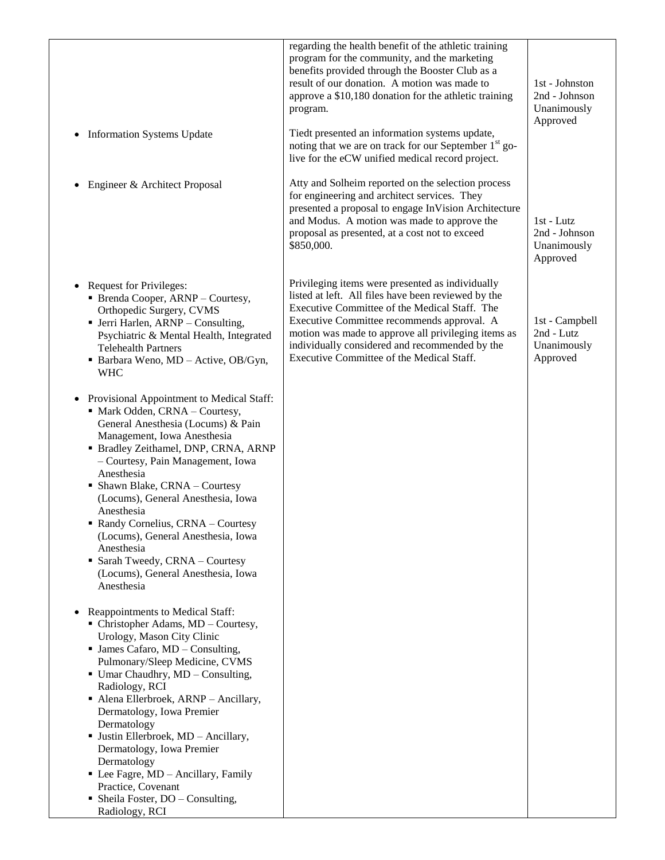|                                                                                                                                                                                                                                             | regarding the health benefit of the athletic training<br>program for the community, and the marketing<br>benefits provided through the Booster Club as a<br>result of our donation. A motion was made to<br>approve a \$10,180 donation for the athletic training<br>program. | 1st - Johnston<br>2nd - Johnson<br>Unanimously<br>Approved |
|---------------------------------------------------------------------------------------------------------------------------------------------------------------------------------------------------------------------------------------------|-------------------------------------------------------------------------------------------------------------------------------------------------------------------------------------------------------------------------------------------------------------------------------|------------------------------------------------------------|
| • Information Systems Update                                                                                                                                                                                                                | Tiedt presented an information systems update,<br>noting that we are on track for our September 1 <sup>st</sup> go-<br>live for the eCW unified medical record project.                                                                                                       |                                                            |
| Engineer & Architect Proposal                                                                                                                                                                                                               | Atty and Solheim reported on the selection process<br>for engineering and architect services. They<br>presented a proposal to engage InVision Architecture<br>and Modus. A motion was made to approve the<br>proposal as presented, at a cost not to exceed<br>\$850,000.     | 1st - Lutz<br>2nd - Johnson<br>Unanimously<br>Approved     |
| • Request for Privileges:                                                                                                                                                                                                                   | Privileging items were presented as individually<br>listed at left. All files have been reviewed by the                                                                                                                                                                       |                                                            |
| • Brenda Cooper, ARNP - Courtesy,<br>Orthopedic Surgery, CVMS                                                                                                                                                                               | Executive Committee of the Medical Staff. The                                                                                                                                                                                                                                 |                                                            |
| • Jerri Harlen, ARNP - Consulting,<br>Psychiatric & Mental Health, Integrated<br><b>Telehealth Partners</b><br>• Barbara Weno, MD - Active, OB/Gyn,<br><b>WHC</b>                                                                           | Executive Committee recommends approval. A<br>motion was made to approve all privileging items as<br>individually considered and recommended by the<br>Executive Committee of the Medical Staff.                                                                              | 1st - Campbell<br>2nd - Lutz<br>Unanimously<br>Approved    |
| Provisional Appointment to Medical Staff:<br>• Mark Odden, CRNA - Courtesy,<br>General Anesthesia (Locums) & Pain<br>Management, Iowa Anesthesia<br>• Bradley Zeithamel, DNP, CRNA, ARNP<br>- Courtesy, Pain Management, Iowa<br>Anesthesia |                                                                                                                                                                                                                                                                               |                                                            |
| • Shawn Blake, CRNA - Courtesy<br>(Locums), General Anesthesia, Iowa<br>Anesthesia<br>Randy Cornelius, CRNA - Courtesy<br>(Locums), General Anesthesia, Iowa                                                                                |                                                                                                                                                                                                                                                                               |                                                            |
| Anesthesia<br>• Sarah Tweedy, CRNA - Courtesy<br>(Locums), General Anesthesia, Iowa<br>Anesthesia                                                                                                                                           |                                                                                                                                                                                                                                                                               |                                                            |
| • Reappointments to Medical Staff:<br>• Christopher Adams, MD - Courtesy,<br>Urology, Mason City Clinic<br>$\blacksquare$ James Cafaro, MD – Consulting,                                                                                    |                                                                                                                                                                                                                                                                               |                                                            |
| Pulmonary/Sleep Medicine, CVMS<br>$\blacksquare$ Umar Chaudhry, MD – Consulting,<br>Radiology, RCI                                                                                                                                          |                                                                                                                                                                                                                                                                               |                                                            |
| • Alena Ellerbroek, ARNP - Ancillary,<br>Dermatology, Iowa Premier<br>Dermatology                                                                                                                                                           |                                                                                                                                                                                                                                                                               |                                                            |
| · Justin Ellerbroek, MD - Ancillary,<br>Dermatology, Iowa Premier<br>Dermatology<br>• Lee Fagre, MD - Ancillary, Family                                                                                                                     |                                                                                                                                                                                                                                                                               |                                                            |
| Practice, Covenant                                                                                                                                                                                                                          |                                                                                                                                                                                                                                                                               |                                                            |
| • Sheila Foster, $DO - Consulting$ ,<br>Radiology, RCI                                                                                                                                                                                      |                                                                                                                                                                                                                                                                               |                                                            |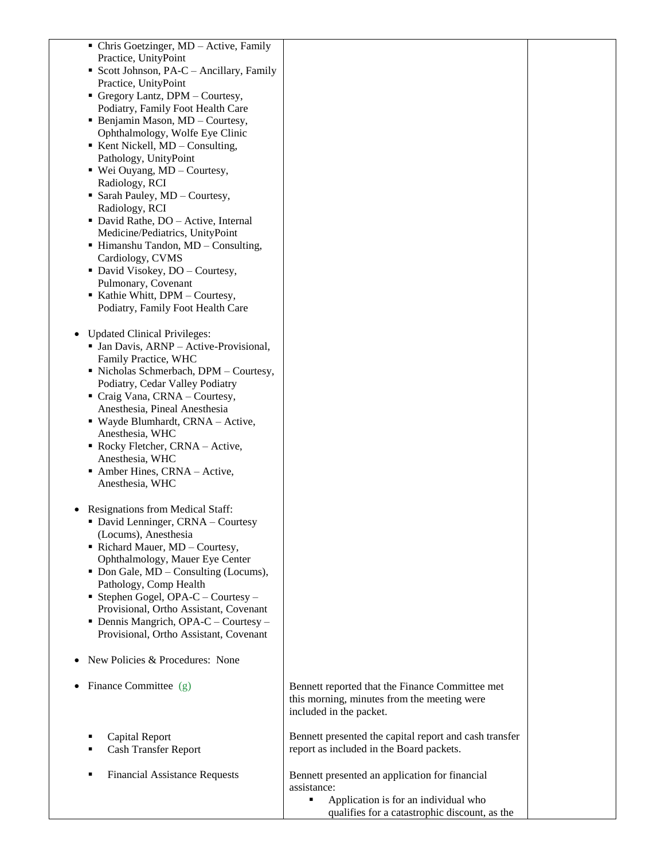| • Chris Goetzinger, MD - Active, Family                         |                                                                                                    |  |
|-----------------------------------------------------------------|----------------------------------------------------------------------------------------------------|--|
| Practice, UnityPoint<br>Scott Johnson, PA-C - Ancillary, Family |                                                                                                    |  |
| Practice, UnityPoint                                            |                                                                                                    |  |
| $\blacksquare$ Gregory Lantz, DPM – Courtesy,                   |                                                                                                    |  |
| Podiatry, Family Foot Health Care                               |                                                                                                    |  |
| • Benjamin Mason, MD - Courtesy,                                |                                                                                                    |  |
| Ophthalmology, Wolfe Eye Clinic                                 |                                                                                                    |  |
| $\blacksquare$ Kent Nickell, MD – Consulting,                   |                                                                                                    |  |
| Pathology, UnityPoint                                           |                                                                                                    |  |
| ■ Wei Ouyang, MD - Courtesy,                                    |                                                                                                    |  |
| Radiology, RCI<br>• Sarah Pauley, MD - Courtesy,                |                                                                                                    |  |
| Radiology, RCI                                                  |                                                                                                    |  |
| • David Rathe, DO - Active, Internal                            |                                                                                                    |  |
| Medicine/Pediatrics, UnityPoint                                 |                                                                                                    |  |
| $\blacksquare$ Himanshu Tandon, MD – Consulting,                |                                                                                                    |  |
| Cardiology, CVMS                                                |                                                                                                    |  |
| • David Visokey, DO - Courtesy,                                 |                                                                                                    |  |
| Pulmonary, Covenant<br>Kathie Whitt, DPM - Courtesy,            |                                                                                                    |  |
| Podiatry, Family Foot Health Care                               |                                                                                                    |  |
|                                                                 |                                                                                                    |  |
| <b>Updated Clinical Privileges:</b>                             |                                                                                                    |  |
| • Jan Davis, ARNP – Active-Provisional,                         |                                                                                                    |  |
| Family Practice, WHC                                            |                                                                                                    |  |
| · Nicholas Schmerbach, DPM - Courtesy,                          |                                                                                                    |  |
| Podiatry, Cedar Valley Podiatry                                 |                                                                                                    |  |
| Craig Vana, CRNA - Courtesy,                                    |                                                                                                    |  |
| Anesthesia, Pineal Anesthesia                                   |                                                                                                    |  |
| ■ Wayde Blumhardt, CRNA – Active,<br>Anesthesia, WHC            |                                                                                                    |  |
| Rocky Fletcher, CRNA - Active,                                  |                                                                                                    |  |
| Anesthesia, WHC                                                 |                                                                                                    |  |
| Amber Hines, CRNA - Active,                                     |                                                                                                    |  |
| Anesthesia, WHC                                                 |                                                                                                    |  |
|                                                                 |                                                                                                    |  |
| <b>Resignations from Medical Staff:</b>                         |                                                                                                    |  |
| • David Lenninger, CRNA - Courtesy                              |                                                                                                    |  |
| (Locums), Anesthesia<br>Richard Mauer, MD - Courtesy,           |                                                                                                    |  |
| Ophthalmology, Mauer Eye Center                                 |                                                                                                    |  |
| • Don Gale, MD – Consulting (Locums),                           |                                                                                                    |  |
| Pathology, Comp Health                                          |                                                                                                    |  |
| Stephen Gogel, OPA-C - Courtesy -                               |                                                                                                    |  |
| Provisional, Ortho Assistant, Covenant                          |                                                                                                    |  |
| $\blacksquare$ Dennis Mangrich, OPA-C – Courtesy –              |                                                                                                    |  |
| Provisional, Ortho Assistant, Covenant                          |                                                                                                    |  |
| New Policies & Procedures: None                                 |                                                                                                    |  |
|                                                                 |                                                                                                    |  |
| Finance Committee (g)                                           | Bennett reported that the Finance Committee met                                                    |  |
|                                                                 | this morning, minutes from the meeting were                                                        |  |
|                                                                 | included in the packet.                                                                            |  |
|                                                                 |                                                                                                    |  |
| Capital Report                                                  | Bennett presented the capital report and cash transfer<br>report as included in the Board packets. |  |
| <b>Cash Transfer Report</b>                                     |                                                                                                    |  |
| <b>Financial Assistance Requests</b>                            | Bennett presented an application for financial                                                     |  |
|                                                                 | assistance:                                                                                        |  |
|                                                                 | Application is for an individual who<br>٠                                                          |  |
|                                                                 | qualifies for a catastrophic discount, as the                                                      |  |